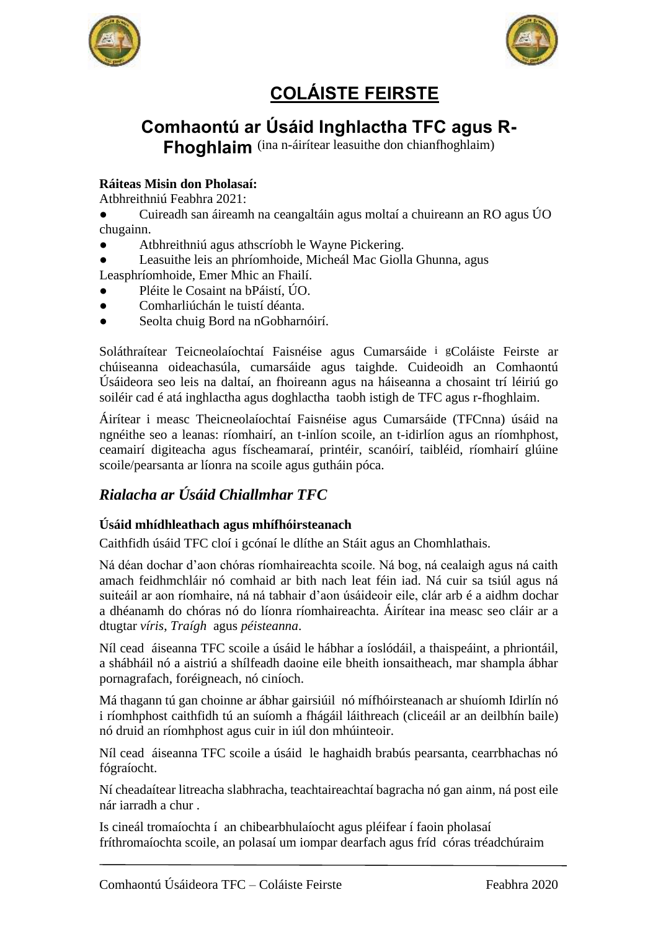



# **COLÁISTE FEIRSTE**

# **Comhaontú ar Úsáid Inghlactha TFC agus R-**

**Fhoghlaim** (ina n-áirítear leasuithe don chianfhoghlaim)

## **Ráiteas Misin don Pholasaí:**

Atbhreithniú Feabhra 2021:

- Cuireadh san áireamh na ceangaltáin agus moltaí a chuireann an RO agus ÚO chugainn.
- Atbhreithniú agus athscríobh le Wayne Pickering.
- Leasuithe leis an phríomhoide, Micheál Mac Giolla Ghunna, agus Leasphríomhoide, Emer Mhic an Fhailí.
- Pléite le Cosaint na bPáistí, ÚO.
- Comharliúchán le tuistí déanta.
- Seolta chuig Bord na nGobharnóirí.

Soláthraítear Teicneolaíochtaí Faisnéise agus Cumarsáide i gColáiste Feirste ar chúiseanna oideachasúla, cumarsáide agus taighde. Cuideoidh an Comhaontú Úsáideora seo leis na daltaí, an fhoireann agus na háiseanna a chosaint trí léiriú go soiléir cad é atá inghlactha agus doghlactha taobh istigh de TFC agus r-fhoghlaim.

Áirítear i measc Theicneolaíochtaí Faisnéise agus Cumarsáide (TFCnna) úsáid na ngnéithe seo a leanas: ríomhairí, an t-inlíon scoile, an t-idirlíon agus an ríomhphost, ceamairí digiteacha agus físcheamaraí, printéir, scanóirí, taibléid, ríomhairí glúine scoile/pearsanta ar líonra na scoile agus gutháin póca.

# *Rialacha ar Úsáid Chiallmhar TFC*

### **Úsáid mhídhleathach agus mhífhóirsteanach**

Caithfidh úsáid TFC cloí i gcónaí le dlíthe an Stáit agus an Chomhlathais.

Ná déan dochar d'aon chóras ríomhaireachta scoile. Ná bog, ná cealaigh agus ná caith amach feidhmchláir nó comhaid ar bith nach leat féin iad. Ná cuir sa tsiúl agus ná suiteáil ar aon ríomhaire, ná ná tabhair d'aon úsáideoir eile, clár arb é a aidhm dochar a dhéanamh do chóras nó do líonra ríomhaireachta. Áirítear ina measc seo cláir ar a dtugtar *víris*, *Traígh* agus *péisteanna*.

Níl cead áiseanna TFC scoile a úsáid le hábhar a íoslódáil, a thaispeáint, a phriontáil, a shábháil nó a aistriú a shílfeadh daoine eile bheith ionsaitheach, mar shampla ábhar pornagrafach, foréigneach, nó ciníoch.

Má thagann tú gan choinne ar ábhar gairsiúil nó mífhóirsteanach ar shuíomh Idirlín nó i ríomhphost caithfidh tú an suíomh a fhágáil láithreach (cliceáil ar an deilbhín baile) nó druid an ríomhphost agus cuir in iúl don mhúinteoir.

Níl cead áiseanna TFC scoile a úsáid le haghaidh brabús pearsanta, cearrbhachas nó fógraíocht.

Ní cheadaítear litreacha slabhracha, teachtaireachtaí bagracha nó gan ainm, ná post eile nár iarradh a chur .

Is cineál tromaíochta í an chibearbhulaíocht agus pléifear í faoin pholasaí fríthromaíochta scoile, an polasaí um iompar dearfach agus fríd córas tréadchúraim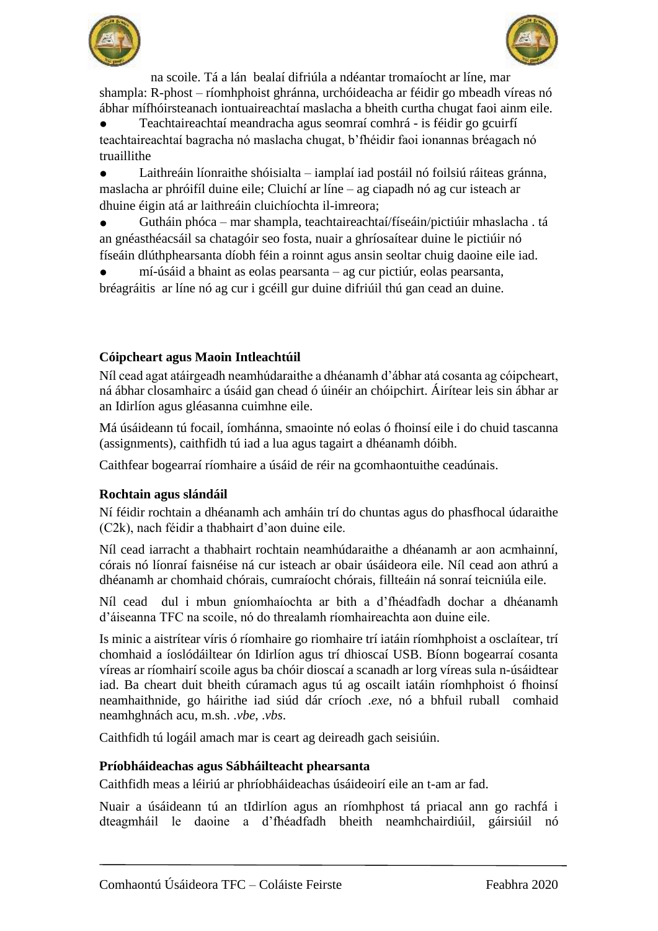



na scoile. Tá a lán bealaí difriúla a ndéantar tromaíocht ar líne, mar shampla: R-phost – ríomhphoist ghránna, urchóideacha ar féidir go mbeadh víreas nó ábhar mífhóirsteanach iontuaireachtaí maslacha a bheith curtha chugat faoi ainm eile.

Teachtaireachtaí meandracha agus seomraí comhrá - is féidir go gcuirfí teachtaireachtaí bagracha nó maslacha chugat, b'fhéidir faoi ionannas bréagach nó truaillithe

● Laithreáin líonraithe shóisialta – iamplaí iad postáil nó foilsiú ráiteas gránna, maslacha ar phróifíl duine eile; Cluichí ar líne – ag ciapadh nó ag cur isteach ar dhuine éigin atá ar laithreáin cluichíochta il-imreora;

● Gutháin phóca – mar shampla, teachtaireachtaí/físeáin/pictiúir mhaslacha . tá an gnéasthéacsáil sa chatagóir seo fosta, nuair a ghríosaítear duine le pictiúir nó físeáin dlúthphearsanta díobh féin a roinnt agus ansin seoltar chuig daoine eile iad.

mí-úsáid a bhaint as eolas pearsanta – ag cur pictiúr, eolas pearsanta, bréagráitis ar líne nó ag cur i gcéill gur duine difriúil thú gan cead an duine.

### **Cóipcheart agus Maoin Intleachtúil**

Níl cead agat atáirgeadh neamhúdaraithe a dhéanamh d'ábhar atá cosanta ag cóipcheart, ná ábhar closamhairc a úsáid gan chead ó úinéir an chóipchirt. Áirítear leis sin ábhar ar an Idirlíon agus gléasanna cuimhne eile.

Má úsáideann tú focail, íomhánna, smaointe nó eolas ó fhoinsí eile i do chuid tascanna (assignments), caithfidh tú iad a lua agus tagairt a dhéanamh dóibh.

Caithfear bogearraí ríomhaire a úsáid de réir na gcomhaontuithe ceadúnais.

### **Rochtain agus slándáil**

Ní féidir rochtain a dhéanamh ach amháin trí do chuntas agus do phasfhocal údaraithe (C2k), nach féidir a thabhairt d'aon duine eile.

Níl cead iarracht a thabhairt rochtain neamhúdaraithe a dhéanamh ar aon acmhainní, córais nó líonraí faisnéise ná cur isteach ar obair úsáideora eile. Níl cead aon athrú a dhéanamh ar chomhaid chórais, cumraíocht chórais, fillteáin ná sonraí teicniúla eile.

Níl cead dul i mbun gníomhaíochta ar bith a d'fhéadfadh dochar a dhéanamh d'áiseanna TFC na scoile, nó do threalamh ríomhaireachta aon duine eile.

Is minic a aistrítear víris ó ríomhaire go riomhaire trí iatáin ríomhphoist a osclaítear, trí chomhaid a íoslódáiltear ón Idirlíon agus trí dhioscaí USB. Bíonn bogearraí cosanta víreas ar ríomhairí scoile agus ba chóir dioscaí a scanadh ar lorg víreas sula n-úsáidtear iad. Ba cheart duit bheith cúramach agus tú ag oscailt iatáin ríomhphoist ó fhoinsí neamhaithnide, go háirithe iad siúd dár críoch .*exe*, nó a bhfuil ruball comhaid neamhghnách acu, m.sh. .*vbe*, .*vbs*.

Caithfidh tú logáil amach mar is ceart ag deireadh gach seisiúin.

### **Príobháideachas agus Sábháilteacht phearsanta**

Caithfidh meas a léiriú ar phríobháideachas úsáideoirí eile an t-am ar fad.

Nuair a úsáideann tú an tIdirlíon agus an ríomhphost tá priacal ann go rachfá i dteagmháil le daoine a d'fhéadfadh bheith neamhchairdiúil, gáirsiúil nó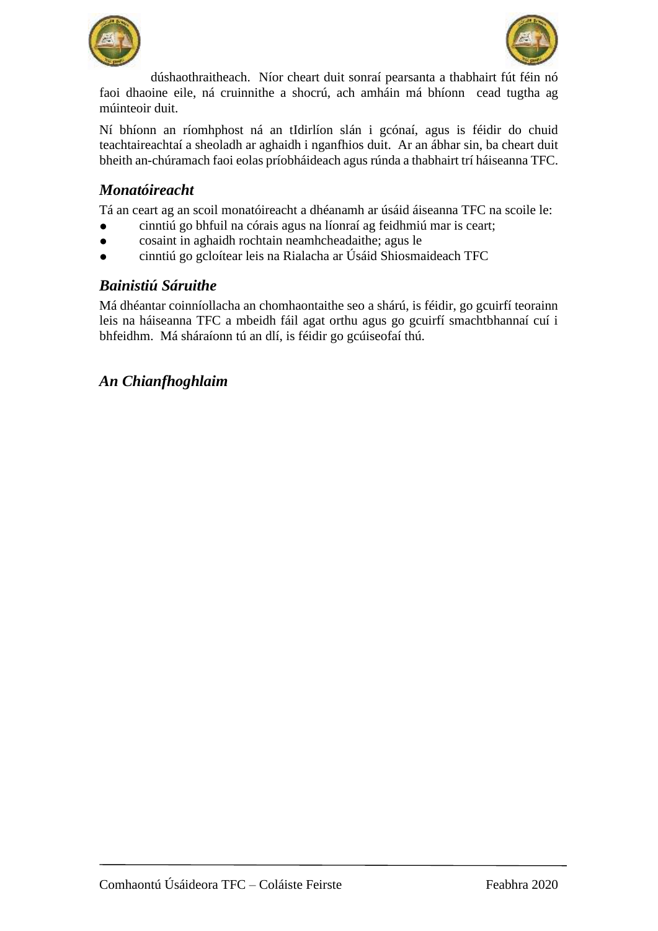



dúshaothraitheach. Níor cheart duit sonraí pearsanta a thabhairt fút féin nó faoi dhaoine eile, ná cruinnithe a shocrú, ach amháin má bhíonn cead tugtha ag múinteoir duit.

Ní bhíonn an ríomhphost ná an tIdirlíon slán i gcónaí, agus is féidir do chuid teachtaireachtaí a sheoladh ar aghaidh i nganfhios duit. Ar an ábhar sin, ba cheart duit bheith an-chúramach faoi eolas príobháideach agus rúnda a thabhairt trí háiseanna TFC.

## *Monatóireacht*

Tá an ceart ag an scoil monatóireacht a dhéanamh ar úsáid áiseanna TFC na scoile le:

- cinntiú go bhfuil na córais agus na líonraí ag feidhmiú mar is ceart;
- cosaint in aghaidh rochtain neamhcheadaithe; agus le
- cinntiú go gcloítear leis na Rialacha ar Úsáid Shiosmaideach TFC

### *Bainistiú Sáruithe*

Má dhéantar coinníollacha an chomhaontaithe seo a shárú, is féidir, go gcuirfí teorainn leis na háiseanna TFC a mbeidh fáil agat orthu agus go gcuirfí smachtbhannaí cuí i bhfeidhm. Má sháraíonn tú an dlí, is féidir go gcúiseofaí thú.

## *An Chianfhoghlaim*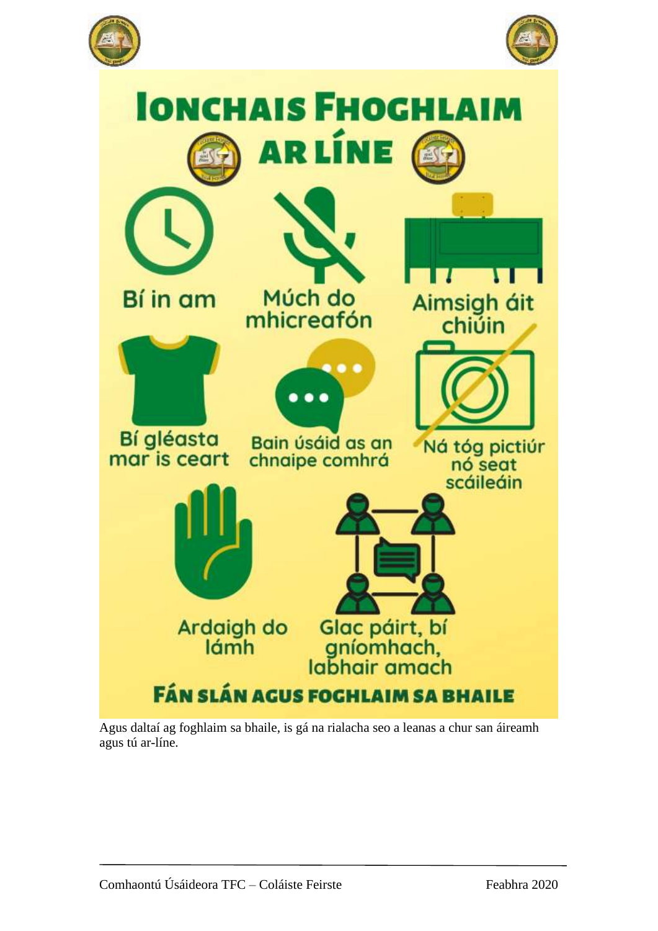





Agus daltaí ag foghlaim sa bhaile, is gá na rialacha seo a leanas a chur san áireamh agus tú ar-líne.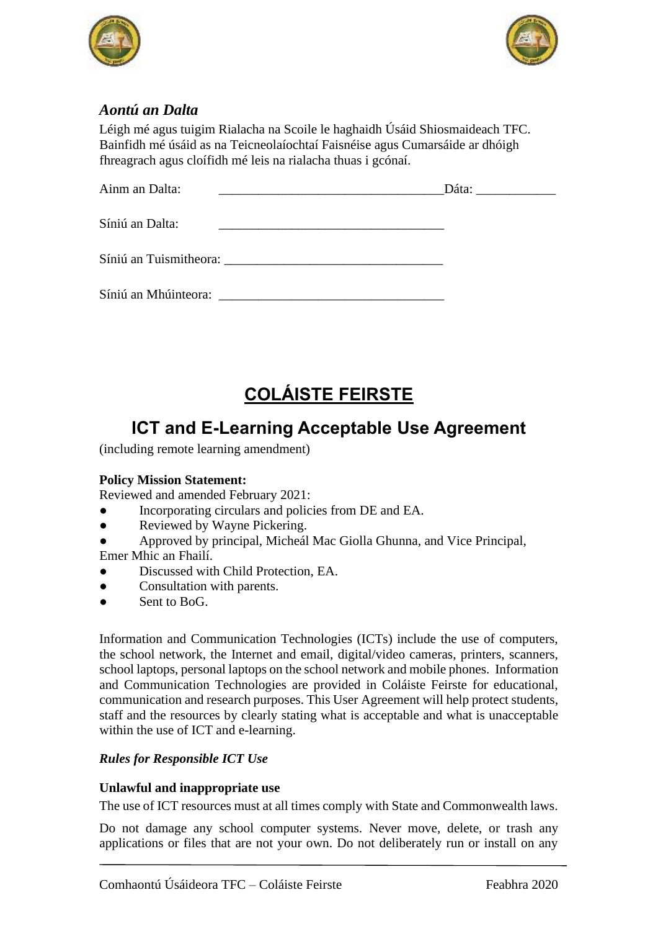



# *Aontú an Dalta*

Léigh mé agus tuigim Rialacha na Scoile le haghaidh Úsáid Shiosmaideach TFC. Bainfidh mé úsáid as na Teicneolaíochtaí Faisnéise agus Cumarsáide ar dhóigh fhreagrach agus cloífidh mé leis na rialacha thuas i gcónaí.

| Ainm an Dalta:                                                                                                                                                                                                                 |  |
|--------------------------------------------------------------------------------------------------------------------------------------------------------------------------------------------------------------------------------|--|
| Síniú an Dalta:                                                                                                                                                                                                                |  |
| Síniú an Tuismitheora: University of the Contract of the Contract of the Contract of the Contract of the Contract of the Contract of the Contract of the Contract of the Contract of the Contract of the Contract of the Contr |  |
| Síniú an Mhúinteora:                                                                                                                                                                                                           |  |

# **COLÁISTE FEIRSTE**

# **ICT and E-Learning Acceptable Use Agreement**

(including remote learning amendment)

### **Policy Mission Statement:**

Reviewed and amended February 2021:

- Incorporating circulars and policies from DE and EA.
- Reviewed by Wayne Pickering.
- Approved by principal, Micheál Mac Giolla Ghunna, and Vice Principal,

Emer Mhic an Fhailí.

- Discussed with Child Protection, EA.
- Consultation with parents.
- Sent to BoG.

Information and Communication Technologies (ICTs) include the use of computers, the school network, the Internet and email, digital/video cameras, printers, scanners, school laptops, personal laptops on the school network and mobile phones. Information and Communication Technologies are provided in Coláiste Feirste for educational, communication and research purposes. This User Agreement will help protect students, staff and the resources by clearly stating what is acceptable and what is unacceptable within the use of ICT and e-learning.

### *Rules for Responsible ICT Use*

### **Unlawful and inappropriate use**

The use of ICT resources must at all times comply with State and Commonwealth laws.

Do not damage any school computer systems. Never move, delete, or trash any applications or files that are not your own. Do not deliberately run or install on any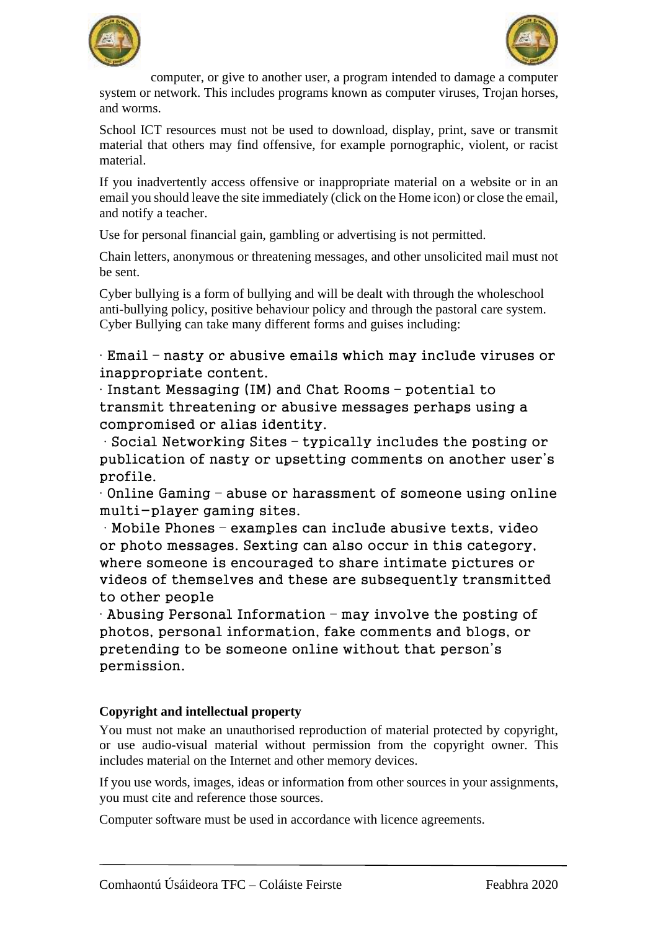



computer, or give to another user, a program intended to damage a computer system or network. This includes programs known as computer viruses, Trojan horses, and worms.

School ICT resources must not be used to download, display, print, save or transmit material that others may find offensive, for example pornographic, violent, or racist material.

If you inadvertently access offensive or inappropriate material on a website or in an email you should leave the site immediately (click on the Home icon) or close the email, and notify a teacher.

Use for personal financial gain, gambling or advertising is not permitted.

Chain letters, anonymous or threatening messages, and other unsolicited mail must not be sent.

Cyber bullying is a form of bullying and will be dealt with through the wholeschool anti-bullying policy, positive behaviour policy and through the pastoral care system. Cyber Bullying can take many different forms and guises including:

∙ Email – nasty or abusive emails which may include viruses or inappropriate content.

∙ Instant Messaging (IM) and Chat Rooms – potential to transmit threatening or abusive messages perhaps using a compromised or alias identity.

∙ Social Networking Sites – typically includes the posting or publication of nasty or upsetting comments on another user's profile.

∙ Online Gaming – abuse or harassment of someone using online multi-player gaming sites.

∙ Mobile Phones – examples can include abusive texts, video or photo messages. Sexting can also occur in this category, where someone is encouraged to share intimate pictures or videos of themselves and these are subsequently transmitted to other people

∙ Abusing Personal Information – may involve the posting of photos, personal information, fake comments and blogs, or pretending to be someone online without that person's permission.

### **Copyright and intellectual property**

You must not make an unauthorised reproduction of material protected by copyright, or use audio-visual material without permission from the copyright owner. This includes material on the Internet and other memory devices.

If you use words, images, ideas or information from other sources in your assignments, you must cite and reference those sources.

Computer software must be used in accordance with licence agreements.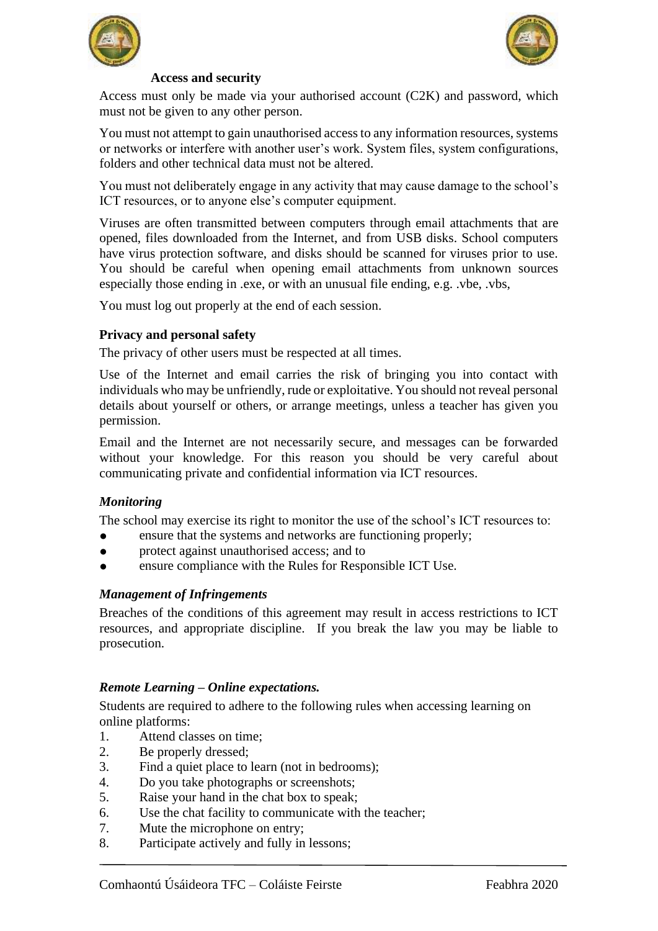



### **Access and security**

Access must only be made via your authorised account (C2K) and password, which must not be given to any other person.

You must not attempt to gain unauthorised access to any information resources, systems or networks or interfere with another user's work. System files, system configurations, folders and other technical data must not be altered.

You must not deliberately engage in any activity that may cause damage to the school's ICT resources, or to anyone else's computer equipment.

Viruses are often transmitted between computers through email attachments that are opened, files downloaded from the Internet, and from USB disks. School computers have virus protection software, and disks should be scanned for viruses prior to use. You should be careful when opening email attachments from unknown sources especially those ending in .exe, or with an unusual file ending, e.g. .vbe, .vbs,

You must log out properly at the end of each session.

### **Privacy and personal safety**

The privacy of other users must be respected at all times.

Use of the Internet and email carries the risk of bringing you into contact with individuals who may be unfriendly, rude or exploitative. You should not reveal personal details about yourself or others, or arrange meetings, unless a teacher has given you permission.

Email and the Internet are not necessarily secure, and messages can be forwarded without your knowledge. For this reason you should be very careful about communicating private and confidential information via ICT resources.

### *Monitoring*

The school may exercise its right to monitor the use of the school's ICT resources to:

- ensure that the systems and networks are functioning properly;
- protect against unauthorised access; and to
- ensure compliance with the Rules for Responsible ICT Use.

### *Management of Infringements*

Breaches of the conditions of this agreement may result in access restrictions to ICT resources, and appropriate discipline. If you break the law you may be liable to prosecution.

### *Remote Learning – Online expectations.*

Students are required to adhere to the following rules when accessing learning on online platforms:

- 1. Attend classes on time;
- 2. Be properly dressed;
- 3. Find a quiet place to learn (not in bedrooms);
- 4. Do you take photographs or screenshots;
- 5. Raise your hand in the chat box to speak;
- 6. Use the chat facility to communicate with the teacher;
- 7. Mute the microphone on entry;
- 8. Participate actively and fully in lessons;